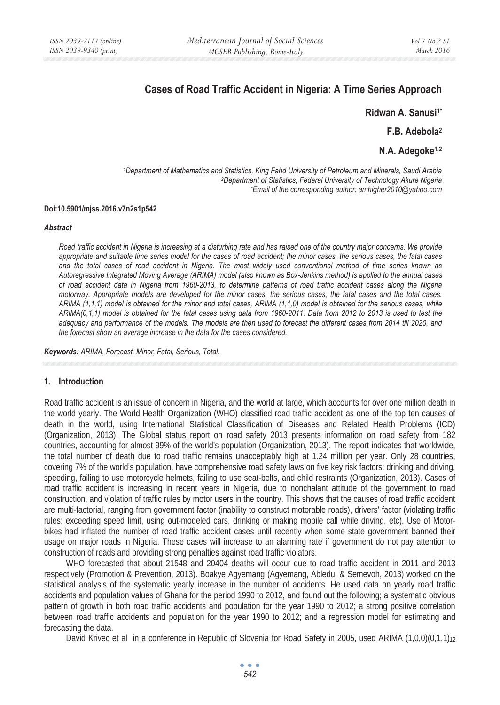# **Cases of Road Traffic Accident in Nigeria: A Time Series Approach**

**Ridwan A. Sanusi1\***

**F.B. Adebola2**

**N.A. Adegoke1,2** 

*1Department of Mathematics and Statistics, King Fahd University of Petroleum and Minerals, Saudi Arabia 2Department of Statistics, Federal University of Technology Akure Nigeria \* Email of the corresponding author: amhigher2010@yahoo.com* 

#### **Doi:10.5901/mjss.2016.v7n2s1p542**

#### *Abstract*

*Road traffic accident in Nigeria is increasing at a disturbing rate and has raised one of the country major concerns. We provide appropriate and suitable time series model for the cases of road accident; the minor cases, the serious cases, the fatal cases and the total cases of road accident in Nigeria. The most widely used conventional method of time series known as Autoregressive Integrated Moving Average (ARIMA) model (also known as Box-Jenkins method) is applied to the annual cases of road accident data in Nigeria from 1960-2013, to determine patterns of road traffic accident cases along the Nigeria motorway. Appropriate models are developed for the minor cases, the serious cases, the fatal cases and the total cases. ARIMA (1,1,1) model is obtained for the minor and total cases, ARIMA (1,1,0) model is obtained for the serious cases, while ARIMA(0,1,1) model is obtained for the fatal cases using data from 1960-2011. Data from 2012 to 2013 is used to test the adequacy and performance of the models. The models are then used to forecast the different cases from 2014 till 2020, and the forecast show an average increase in the data for the cases considered.* 

*Keywords: ARIMA, Forecast, Minor, Fatal, Serious, Total.*

#### **1. Introduction**

Road traffic accident is an issue of concern in Nigeria, and the world at large, which accounts for over one million death in the world yearly. The World Health Organization (WHO) classified road traffic accident as one of the top ten causes of death in the world, using International Statistical Classification of Diseases and Related Health Problems (ICD) (Organization, 2013). The Global status report on road safety 2013 presents information on road safety from 182 countries, accounting for almost 99% of the world's population (Organization, 2013). The report indicates that worldwide, the total number of death due to road traffic remains unacceptably high at 1.24 million per year. Only 28 countries, covering 7% of the world's population, have comprehensive road safety laws on five key risk factors: drinking and driving, speeding, failing to use motorcycle helmets, failing to use seat-belts, and child restraints (Organization, 2013). Cases of road traffic accident is increasing in recent years in Nigeria, due to nonchalant attitude of the government to road construction, and violation of traffic rules by motor users in the country. This shows that the causes of road traffic accident are multi-factorial, ranging from government factor (inability to construct motorable roads), drivers' factor (violating traffic rules; exceeding speed limit, using out-modeled cars, drinking or making mobile call while driving, etc). Use of Motorbikes had inflated the number of road traffic accident cases until recently when some state government banned their usage on major roads in Nigeria. These cases will increase to an alarming rate if government do not pay attention to construction of roads and providing strong penalties against road traffic violators.

WHO forecasted that about 21548 and 20404 deaths will occur due to road traffic accident in 2011 and 2013 respectively (Promotion & Prevention, 2013). Boakye Agyemang (Agyemang, Abledu, & Semevoh, 2013) worked on the statistical analysis of the systematic yearly increase in the number of accidents. He used data on yearly road traffic accidents and population values of Ghana for the period 1990 to 2012, and found out the following; a systematic obvious pattern of growth in both road traffic accidents and population for the year 1990 to 2012; a strong positive correlation between road traffic accidents and population for the year 1990 to 2012; and a regression model for estimating and forecasting the data.

David Krivec et al in a conference in Republic of Slovenia for Road Safety in 2005, used ARIMA (1*,*0*,*0)(0*,*1*,*1)12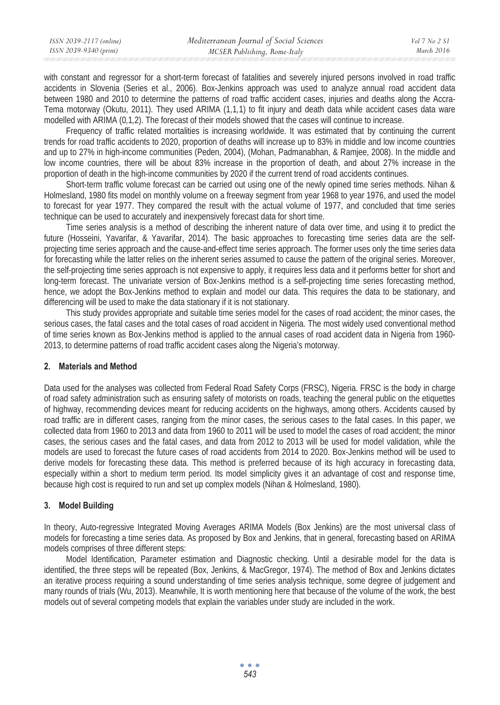with constant and regressor for a short-term forecast of fatalities and severely injured persons involved in road traffic accidents in Slovenia (Series et al., 2006). Box-Jenkins approach was used to analyze annual road accident data between 1980 and 2010 to determine the patterns of road traffic accident cases, injuries and deaths along the Accra-Tema motorway (Okutu, 2011). They used ARIMA (1*,*1*,*1) to fit injury and death data while accident cases data ware modelled with ARIMA (0*,*1*,*2). The forecast of their models showed that the cases will continue to increase.

Frequency of traffic related mortalities is increasing worldwide. It was estimated that by continuing the current trends for road traffic accidents to 2020, proportion of deaths will increase up to 83% in middle and low income countries and up to 27% in high-income communities (Peden, 2004), (Mohan, Padmanabhan, & Ramjee, 2008). In the middle and low income countries, there will be about 83% increase in the proportion of death, and about 27% increase in the proportion of death in the high-income communities by 2020 if the current trend of road accidents continues.

Short-term traffic volume forecast can be carried out using one of the newly opined time series methods. Nihan & Holmesland, 1980 fits model on monthly volume on a freeway segment from year 1968 to year 1976, and used the model to forecast for year 1977. They compared the result with the actual volume of 1977, and concluded that time series technique can be used to accurately and inexpensively forecast data for short time.

Time series analysis is a method of describing the inherent nature of data over time, and using it to predict the future (Hosseini, Yavarifar, & Yavarifar, 2014). The basic approaches to forecasting time series data are the selfprojecting time series approach and the cause-and-effect time series approach. The former uses only the time series data for forecasting while the latter relies on the inherent series assumed to cause the pattern of the original series. Moreover, the self-projecting time series approach is not expensive to apply, it requires less data and it performs better for short and long-term forecast. The univariate version of Box-Jenkins method is a self-projecting time series forecasting method, hence, we adopt the Box-Jenkins method to explain and model our data. This requires the data to be stationary, and differencing will be used to make the data stationary if it is not stationary.

This study provides appropriate and suitable time series model for the cases of road accident; the minor cases, the serious cases, the fatal cases and the total cases of road accident in Nigeria. The most widely used conventional method of time series known as Box-Jenkins method is applied to the annual cases of road accident data in Nigeria from 1960- 2013, to determine patterns of road traffic accident cases along the Nigeria's motorway.

# **2. Materials and Method**

Data used for the analyses was collected from Federal Road Safety Corps (FRSC), Nigeria. FRSC is the body in charge of road safety administration such as ensuring safety of motorists on roads, teaching the general public on the etiquettes of highway, recommending devices meant for reducing accidents on the highways, among others. Accidents caused by road traffic are in different cases, ranging from the minor cases, the serious cases to the fatal cases. In this paper, we collected data from 1960 to 2013 and data from 1960 to 2011 will be used to model the cases of road accident; the minor cases, the serious cases and the fatal cases, and data from 2012 to 2013 will be used for model validation, while the models are used to forecast the future cases of road accidents from 2014 to 2020. Box-Jenkins method will be used to derive models for forecasting these data. This method is preferred because of its high accuracy in forecasting data, especially within a short to medium term period. Its model simplicity gives it an advantage of cost and response time, because high cost is required to run and set up complex models (Nihan & Holmesland, 1980).

# **3. Model Building**

In theory, Auto-regressive Integrated Moving Averages ARIMA Models (Box Jenkins) are the most universal class of models for forecasting a time series data. As proposed by Box and Jenkins, that in general, forecasting based on ARIMA models comprises of three different steps:

Model Identification, Parameter estimation and Diagnostic checking. Until a desirable model for the data is identified, the three steps will be repeated (Box, Jenkins, & MacGregor, 1974). The method of Box and Jenkins dictates an iterative process requiring a sound understanding of time series analysis technique, some degree of judgement and many rounds of trials (Wu, 2013). Meanwhile, It is worth mentioning here that because of the volume of the work, the best models out of several competing models that explain the variables under study are included in the work.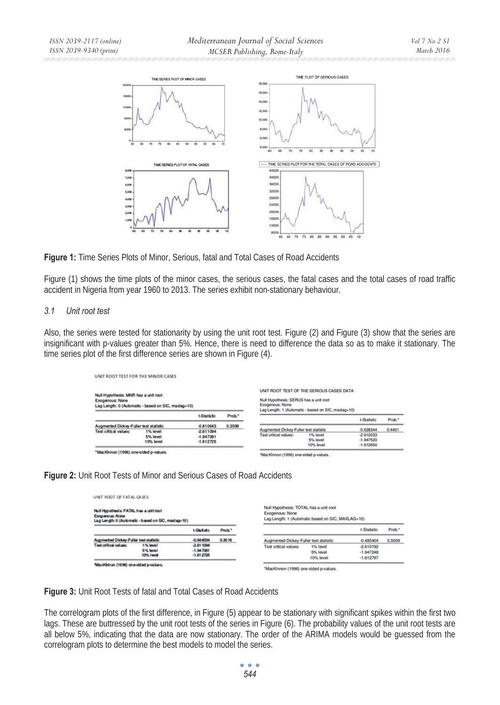

**Figure 1:** Time Series Plots of Minor, Serious, fatal and Total Cases of Road Accidents

Figure (1) shows the time plots of the minor cases, the serious cases, the fatal cases and the total cases of road traffic accident in Nigeria from year 1960 to 2013. The series exhibit non-stationary behaviour.

### *3.1 Unit root test*

Also, the series were tested for stationarity by using the unit root test. Figure (2) and Figure (3) show that the series are insignificant with p-values greater than 5%. Hence, there is need to difference the data so as to make it stationary. The time series plot of the first difference series are shown in Figure (4).

| UNIT ROOT TEST FOR THE MINOR CASES                      |                                                     |             |        |                                                           |                                                                                                 |             |        |
|---------------------------------------------------------|-----------------------------------------------------|-------------|--------|-----------------------------------------------------------|-------------------------------------------------------------------------------------------------|-------------|--------|
| Null Hypothesis: MNR has a unit root<br>Excgenous: Nane | Lag Length: 0 (Automatic - based on SIC, maxiag=10) |             |        | Null Hypothesis: SERUS has a unit root<br>Exogenous: None | UNIT ROOT TEST OF THE SERIOUS CASES DATA<br>Lag Length: 1 (Automatic - based on SIC, maxlag=10) |             |        |
|                                                         |                                                     | t-Statistic | Prob." |                                                           |                                                                                                 | t-Statistic | Prob." |
| Augmented Dickey-Fuller test statistic                  |                                                     | -0.810643   | 0.3599 |                                                           |                                                                                                 |             |        |
| Test citical values:                                    | 1% level                                            | $-2.611094$ |        | Augmented Dickey-Fuller test statistic                    |                                                                                                 | $-0.628344$ | 0.4401 |
|                                                         | 5% level                                            | $-1.947381$ |        | Test critical values:                                     | 1% level                                                                                        | $-2.612033$ |        |
|                                                         | 10% level                                           | $-1.612725$ |        |                                                           | 5% level                                                                                        | $-1.947520$ |        |
|                                                         |                                                     |             |        |                                                           | 10% level                                                                                       | $-1.612650$ |        |
| *MacKhnon (1996) one-sided p-values.                    |                                                     |             |        |                                                           |                                                                                                 |             |        |



| Null Hypothesis: FATAL has a unit root<br>Expositions: None | Lag Langth: 0 (Automatic - based on SIC, madag=10) |                                           |        | Exogenous: None                        | Null Hypothesis: TOTAL has a unit root<br>Lag Length: 1 (Automatic based on SIC, MAXLAG=10) |                                           |        |
|-------------------------------------------------------------|----------------------------------------------------|-------------------------------------------|--------|----------------------------------------|---------------------------------------------------------------------------------------------|-------------------------------------------|--------|
|                                                             |                                                    | t-Statute                                 | Prob." |                                        |                                                                                             | t-Statistic                               | Prob." |
| Augmented Dickey-Fuller test statistic                      |                                                    | -0.948034                                 | 0.3016 | Augmented Dickey-Fuller test statistic |                                                                                             | $-0.485404$                               | 0.5009 |
| Test of fical values:                                       | 1% lovel<br>5% love!<br>10% Lovel                  | $-2.611004$<br>$-1.947981$<br>$-1.612725$ |        | Test critical values:                  | 1% level<br>5% level<br>10% level                                                           | $-2.610192$<br>$-1.947248$<br>$-1.612797$ |        |

**Figure 3:** Unit Root Tests of fatal and Total Cases of Road Accidents

The correlogram plots of the first difference, in Figure (5) appear to be stationary with significant spikes within the first two lags. These are buttressed by the unit root tests of the series in Figure (6). The probability values of the unit root tests are all below 5%, indicating that the data are now stationary. The order of the ARIMA models would be guessed from the correlogram plots to determine the best models to model the series.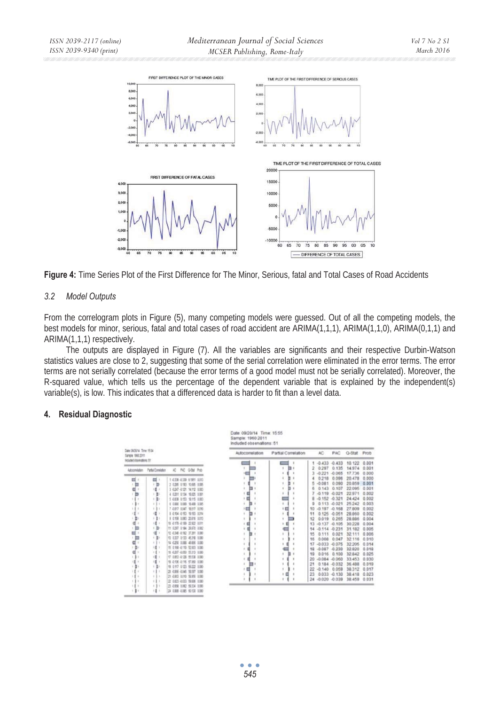

**Figure 4:** Time Series Plot of the First Difference for The Minor, Serious, fatal and Total Cases of Road Accidents

### *3.2 Model Outputs*

From the correlogram plots in Figure (5), many competing models were guessed. Out of all the competing models, the best models for minor, serious, fatal and total cases of road accident are ARIMA(1,1,1), ARIMA(1,1,0), ARIMA(0,1,1) and ARIMA(1,1,1) respectively.

The outputs are displayed in Figure (7). All the variables are significants and their respective Durbin-Watson statistics values are close to 2, suggesting that some of the serial correlation were eliminated in the error terms. The error terms are not serially correlated (because the error terms of a good model must not be serially correlated). Moreover, the R-squared value, which tells us the percentage of the dependent variable that is explained by the independent(s) variable(s), is low. This indicates that a differenced data is harder to fit than a level data.

### **4. Residual Diagnostic**

| Date ORDS/14 Time 1934<br>Partial Correlation<br>AC<br><b>PAC</b><br>Autocorrelation<br>Sangle 1992-2011                | Q-Stat Prob<br>0.001<br>0.001 |
|-------------------------------------------------------------------------------------------------------------------------|-------------------------------|
| Induded showcefore: 51                                                                                                  |                               |
| $-0.433$<br>10.122<br>$-0.433$<br>14,974<br>٠<br>0.297<br>0.135                                                         |                               |
| AC PAC 0-008 Prob<br><b>Partial Constation</b><br>Adocenstaten<br>17.736<br>$-0.221$<br>$-0.065$                        | 0.000                         |
| 20.478<br>0.218<br>0.095                                                                                                | 0.000                         |
| ш<br>σ<br>1 033 033 1:851 0013<br>20.859<br>0.090<br>D<br>$-0.081$<br><b>1.</b><br>2 0.385 0.183 10.695 0.085           | 0.001                         |
| n<br>b<br>22.095<br>0.107<br>0.143<br>3 430 4121 14112 0003<br>-                                                        | 0.001                         |
| 22.971<br>$-0.021$<br>$-0.119$<br>131<br>4 0.301 0.134 10.025 0.001<br>Ð                                                | 0.002                         |
| $-0.321$<br>24.424<br>$-0.152$<br>c<br>(1)<br>5 0239 0153 10115 0083<br>. .<br>×                                        | 0.002                         |
| 25.242<br>$-0.021$<br>0.113<br>111<br>٠.<br>6 0300 0300 10400 1305<br>a                                                 | 0.003                         |
| 27,809<br>7 0.017 0.047 18417 0.010<br>$-0.197$<br>$-0.168$<br>大集工<br>10                                                | 0.002                         |
| 1<br>28.860<br>8 0 104 -0 153 15 165 0 0 to<br>٠<br>0.125<br>$-0.051$<br>11<br>۰                                        | 0.002                         |
| 29,905<br>ы<br>人生く<br>9 0158 0283 30816 0213<br>0.265<br>0.019<br>12                                                    | 0.004                         |
| 12 0178 0189 22822 0011<br>(1)<br>30.228<br>$-0.137$<br>$-0.105$<br>13                                                  | 0.004                         |
| 如<br>门<br>11 0297 0184 26370 0062<br>31.182<br>$-0.231$<br>14<br>$-0.114$                                               | 0.005                         |
| ٠<br>12-034 -0162 17391 0385<br>0.021<br>32.111<br>0.111<br>15<br>n                                                     | 0.006                         |
| (1)<br>13 0337 0133 45318 0080<br>32.116<br>0.047<br>16<br>0.008                                                        | 0.010                         |
| 14 0.256 0.088 49.956 0.080<br>$+11$<br>32,205<br>$-0.033$<br>$-0.075$<br>17                                            | 0.014                         |
| 181<br>15 0 10 -0 110 52 033 0 000<br>Ð<br>32.820<br>$-0.047$<br>$-0.230$<br>19                                         | 0.010                         |
| (1)<br>19 -0.207 -0.050 15.315 0.000<br>0.100<br>32.842<br>0.016<br>19                                                  | 0.025                         |
| 谨<br>17 040 0138 9533 0000<br>×<br>33.453<br>$-0.084 - 0.060$<br>20                                                     | 0.030                         |
| 18 -2136 -2116 -17.000 -1000<br>٥<br>1票 1<br>$0.184 - 0.032$<br>36,488<br>21                                            | 0.019                         |
| (1)<br>19 010 0123 59222 0080<br>٠<br>38.312<br>$-0.140$<br>0.059<br>ri r<br>1<br>٠                                     | 0.017                         |
| 28 -0.066 -0.046 -50.507 -0.060<br>$0.033 - 0.130$<br>38.418<br>$^{23}$<br>$1 - 1 +$<br>21 -0.953 -0.010 -55.956 -0.085 | 0.023                         |
| 24 -0.020 -0.039<br>38.459<br>$+11$<br>22 0.03 -0.033 59.936 0.080                                                      | 0.031                         |
| 25 -0.958 0.062 59.334 0.080<br>ы<br>٠<br>×                                                                             |                               |
| 34 038 -0385 93130 0380<br>- 1<br>×<br>×                                                                                |                               |

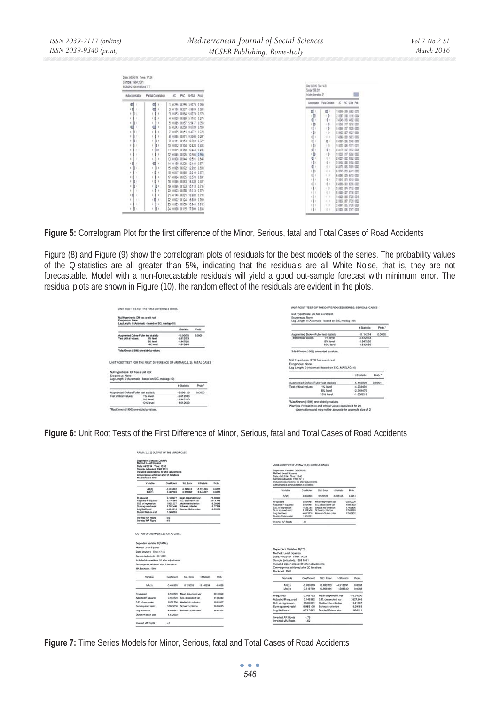| Sample: 1960 2011<br>Included observations: 51<br>Autocomelation | Partial Correlation | ю.                              | PAC O-Stat Prob | Day 1135 Time 143<br>Sanda 98277<br>Islab durators 31 |              | п                                        |
|------------------------------------------------------------------|---------------------|---------------------------------|-----------------|-------------------------------------------------------|--------------|------------------------------------------|
|                                                                  | ₫                   | 1 -0 255 -0 255 3 5279 0 060    |                 | Atomida Patalónidas                                   |              | AC PAC 03x Peb                           |
| 딉                                                                | d                   | 2 -0156 -0237 4 8689 0 088      |                 |                                                       |              |                                          |
| ı                                                                | ١                   | 3 0353 -0354 5 0279 0.170       |                 | Ξ                                                     | 目!           | 1438 436 490 401                         |
|                                                                  | d                   | 4 -0.039 -0.089 5.1162 0.276    |                 | 道                                                     | ٠b           | 243741 1116424                           |
| b<br>í                                                           | ı                   | 5 0.085 0.057 5.5417 0.353      |                 | d                                                     | ぼう           | 14204181 年轻 计图                           |
|                                                                  |                     | 6 -0243 -0250 90789 0.169       |                 | <b>D</b>                                              | (1)          | 4 138 117 118 131                        |
|                                                                  | c                   |                                 |                 | (1)                                                   | $1 - 2 +$    | 1430 117 128 133                         |
| ı                                                                | ı                   | 7 0 075 -0 051 9 4272 0 223     |                 | 律                                                     | (1)          | 113 197 137 138                          |
| ۱                                                                | ١                   | 8 0345 -0361 95608 0.297        |                 |                                                       | 18           | 74 86 4 03 5 10 1 16                     |
| b                                                                | b                   | 9 0111 0153 10359 0322          |                 |                                                       | $\mathbf{d}$ | 1487426 248 119                          |
| ۱                                                                | b                   | 10 0 0 22 0 104 10 428 0 404    |                 | 131                                                   | (1)          | 110 18 231 10                            |
|                                                                  | в<br>ı              | 11 0 015 0 180 10 443 0 491     |                 | ч                                                     | (4)          | 10 415 410 230 410                       |
|                                                                  | ı                   | 12 -0 045 -0 025 -10 586 -0 585 |                 | ١b                                                    | 131          | 11 120 117 350 155                       |
| ı<br>٠                                                           | ٠                   | 13 -0.008 0.044 10.591 0.545    |                 | d                                                     | 111          | 2427402382482                            |
| ۵                                                                |                     | 14 -0159 -0.228 12.446 0.571    |                 | 131                                                   | 111          | 01940026400                              |
| ٠<br>ī.                                                          | ı                   | 15 0 085 0 072 12 992 0 503     |                 | ₫                                                     | 181          | N 410-405 3189 400                       |
| ×                                                                |                     | 15 -0.017 -0.085 13.016 0.672   |                 | (3)                                                   | 181          | IE 112 401 3 AV 402                      |
| ٠t                                                               | ۱                   | 17 -0.084 -0.035 13.578 0.697   |                 |                                                       | 111          | E 484 029 302 032                        |
| b                                                                | d                   | 18 0 096 -0 093 14 339 0 707    |                 | 111                                                   | (1)          | 17 116 101 3 10 101                      |
| b<br>í.                                                          | b<br>ı              | 19 0096 0133 15113 0715         |                 |                                                       | 15.1         | 19 4 88 4 81 36 15 15 15 15 16           |
| ı<br>٠                                                           |                     | 20 0.003 -0.078 15.113 0.770    |                 | 111<br>63.6                                           | 131          | 19 182 104 7 15 108<br>3 18 407 3 51 410 |
| ۵                                                                | ٠                   | 21-0140-0121 15.888 0718        |                 | (11)                                                  | 111<br>111   |                                          |
| ţ.<br>l a                                                        | ٥                   | 22 -0302 -0124 16.889 0.769     |                 | (1)                                                   | $+11$        | 2484 第284<br>2 115 007 336 110           |
|                                                                  |                     | 23 0023 0050 15,941 0.812       |                 | 111                                                   | 12.7         | 214 81 4 05 3 36 4 38                    |
| b<br>t.                                                          | a<br>ı              | 24 0.098 0.115 17.900 0.808     |                 | $(1 +$                                                | 111          | 3 105 106 357 108                        |

**Figure 5:** Correlogram Plot for the first difference of the Minor, Serious, fatal and Total Cases of Road Accidents

Figure (8) and Figure (9) show the correlogram plots of residuals for the best models of the series. The probability values of the Q-statistics are all greater than 5%, indicating that the residuals are all White Noise, that is, they are not forecastable. Model with a non-forecastable residuals will yield a good out-sample forecast with minimum error. The residual plots are shown in Figure (10), the random effect of the residuals are evident in the plots.



**Figure 6:** Unit Root Tests of the First Difference of Minor, Serious, fatal and Total Cases of Road Accidents

| Dependent Variable: D/MNR)<br>Method: Least Squares<br>Date: 09/2014 Time: 15:02<br>Sample (adjusted: 1962 2011)<br>Included observations: 50 after adjustments<br>Convergence achieved after 12 iterations.<br><b>MA Backcast 1961</b>                                                             |                                  |                                                                                                          |                         |                                              | MODEL OUTPUT OF ARIMA(1,1,0); SERIOUS CASES<br>Dependent Variable: D/SERUS1<br>Method: Least Squares<br>Date: 09/20/14 Time: 15:43<br>Sample (adjusted): 1962 2011                              |                                                                                                                                                                            |
|-----------------------------------------------------------------------------------------------------------------------------------------------------------------------------------------------------------------------------------------------------------------------------------------------------|----------------------------------|----------------------------------------------------------------------------------------------------------|-------------------------|----------------------------------------------|-------------------------------------------------------------------------------------------------------------------------------------------------------------------------------------------------|----------------------------------------------------------------------------------------------------------------------------------------------------------------------------|
| Vatable                                                                                                                                                                                                                                                                                             | Conflicient                      | <b>Std Enny</b>                                                                                          | 1-Students              | Prob.                                        | Included observations: 50 after adjustments<br>Convergence achieved after 3 kerations                                                                                                           |                                                                                                                                                                            |
| AR(1)<br>MA/11                                                                                                                                                                                                                                                                                      | -0.855/822<br>0.607063           | 0.142411<br>0.206097                                                                                     | $-5.721099$<br>2.945527 | 0.0000<br>0.0050                             | Variable<br>Coefficient                                                                                                                                                                         | Shit Keny<br>t-Statistic<br>Prob.                                                                                                                                          |
| R-squared                                                                                                                                                                                                                                                                                           | 0.188277                         | Mean depandent var                                                                                       |                         | -25.78000                                    | AR(T)<br>-0.438836                                                                                                                                                                              | -3.398465<br>0.0014<br>0.129128                                                                                                                                            |
| <b>Adjusted R-squared</b><br>S.E. of regression<br>Sum squared resid<br>Log likelihood<br>Durbin-Watson stat                                                                                                                                                                                        | 0.171366<br>1925.037<br>1.949005 | S.D. dependent var<br>Akake into criterion<br>1,78E+08 Schwarz orlarion<br>448.0014 Hannan-Quinn criter. |                         | 2114.743<br>18.00346<br>18.07894<br>18.03158 | R-squared<br>0.190481<br><b>Adjusted R squared</b><br>0.190481<br>1633,764<br>S.E. of regression<br>Sum squared resid<br>1,31E-08<br>Log likelihood<br>440,3759                                 | Mean dependent var<br>32,50000<br>1815,832<br>S.D. dependent var<br>Akalka info criterion.<br>17,65496<br>Schwarz criterion<br>17,69320<br>Hannan-Quinn criter<br>17,66952 |
| Inverted AR Roots<br>Inverted MA Rocks                                                                                                                                                                                                                                                              | $-82$<br>$-61$                   |                                                                                                          |                         |                                              | 1.852321<br>Durbin-Walson stat                                                                                                                                                                  |                                                                                                                                                                            |
|                                                                                                                                                                                                                                                                                                     |                                  |                                                                                                          |                         |                                              | <b>Inverted AR Roots</b><br>$-44$                                                                                                                                                               |                                                                                                                                                                            |
| OUTPUT OF ARIMA(0,1,1); FATAL CASES<br>Dependent Variable: DIFATAL)<br>Method: Least Squares                                                                                                                                                                                                        |                                  |                                                                                                          |                         |                                              | Dependent Variable: D(TC)                                                                                                                                                                       |                                                                                                                                                                            |
|                                                                                                                                                                                                                                                                                                     |                                  |                                                                                                          |                         |                                              | Method: Least Squares<br>Date: 01/23/15 Time: 14:25<br>Sample (adjusted): 1962 2011<br>Included observations: 50 after adjustments<br>Convergence achieved after 20 iterations<br>Backcast 1961 |                                                                                                                                                                            |
| Variable                                                                                                                                                                                                                                                                                            | Coefficient                      | Std. Error                                                                                               | 1-Studebo               | Prob.                                        | Variable<br>Coefficient                                                                                                                                                                         | Std. Emor<br>t-Statistic<br>Prob                                                                                                                                           |
| MA/11                                                                                                                                                                                                                                                                                               | $-0.406170$                      | 0.129303                                                                                                 | $-3.141234$             | 0.0028                                       | AR(1)<br>$-0.787679$<br><b>MA(1)</b><br>0.519769                                                                                                                                                | 0.186703<br>$-4.218891$<br>0.000<br>0.261594<br>1,986930<br>0.005                                                                                                          |
|                                                                                                                                                                                                                                                                                                     | 0.103770                         | Mean dependent var                                                                                       |                         | 39.49020                                     |                                                                                                                                                                                                 |                                                                                                                                                                            |
|                                                                                                                                                                                                                                                                                                     | 0.103770                         | S.D. dependent var                                                                                       |                         | 1136.340                                     | R-squared<br>0.106752                                                                                                                                                                           | $-55.3400$<br>Mean dependent var                                                                                                                                           |
|                                                                                                                                                                                                                                                                                                     | 1075,766                         | Akalka Info criterion                                                                                    |                         | 16,81887                                     | Adjusted R-squared<br>0.149392<br>3530.361                                                                                                                                                      | 3827.84<br>S.D. dependent var<br>19,2153<br>Akaike info criterion                                                                                                          |
|                                                                                                                                                                                                                                                                                                     | 57863638                         | Schwarz criterion                                                                                        |                         | 16.85675                                     | S.E. of regression<br>Sum squared resid<br>$5.98E + 08$                                                                                                                                         | 19,2918<br>Schwarz criterion                                                                                                                                               |
|                                                                                                                                                                                                                                                                                                     | $-427.0011$                      | Hannan Quinn criter                                                                                      |                         | 16,83334                                     | Log likelihood<br>478.3842                                                                                                                                                                      | Durbin-Watson stat<br>1,95611                                                                                                                                              |
| Date: 09/2014 Time: 17:15<br>Sample (adjusted): 1961 2011<br>Included observations: 51 after adjustments<br>Convergence achieved after 6 herations<br><b>MA Backcast 1960</b><br>R-squared<br>Adjusted R equared<br>S.E. of regression<br>Sun squared resid<br>Log likelihood<br>Durble-Watson stat | 1.872692                         |                                                                                                          |                         |                                              | Inverted AR Roots<br>$-79$                                                                                                                                                                      |                                                                                                                                                                            |

**Figure 7:** Time Series Models for Minor, Serious, fatal and Total Cases of Road Accidents

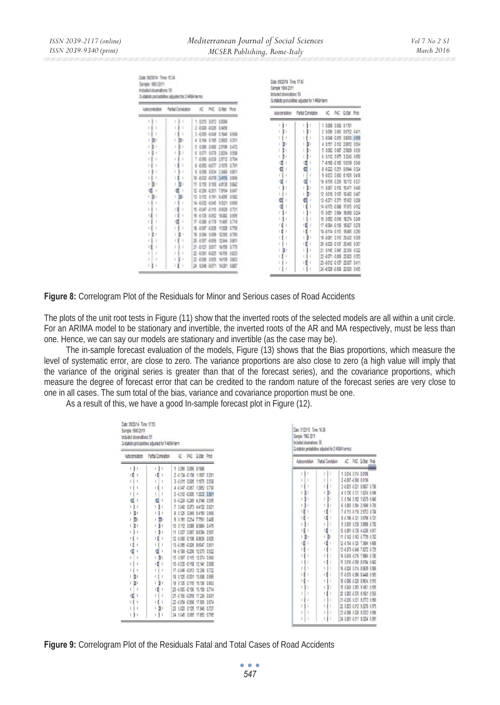| Date 092014 Time: 1534<br>Genete 1960 2011<br>included strainabong 50<br>O statistic protrabilities adjusted for 2 480A terms |                    |                             |          |                  |                 | Date 09/20/14 Time 17:45<br>Sample: 1960 2011<br>Included observations: 50 | Q-statistic probabilities adjusted for 1 ARMA term |   |                                                               |  |
|-------------------------------------------------------------------------------------------------------------------------------|--------------------|-----------------------------|----------|------------------|-----------------|----------------------------------------------------------------------------|----------------------------------------------------|---|---------------------------------------------------------------|--|
| Advertising                                                                                                                   | Partial Constators |                             |          | AC FAC GRat Prot |                 | Autocomelation                                                             | Partial Correlation                                | Æ | PAC O-Stat Prob                                               |  |
| ì<br>ś<br>١                                                                                                                   | ë<br>ı             | 1 800 800 9894              |          |                  |                 |                                                                            | i<br>i.                                            |   | 1 0.058 0.058 0.1781                                          |  |
| ٠<br>٠                                                                                                                        | ٠<br>ĸ             | 2 403 442 198               |          |                  |                 | b                                                                          | ı                                                  |   |                                                               |  |
|                                                                                                                               | t                  | 1409 468 158 169            |          |                  |                 |                                                                            | b                                                  |   | 2 0 096 0 093 0 6752 0 411                                    |  |
|                                                                                                                               | ×                  |                             | 155      | 2828 1351        |                 |                                                                            |                                                    |   | 3 -0048 -0059 0.8036 0.669                                    |  |
| î.                                                                                                                            | x<br>ı<br>٠        |                             | 3,803    | 2936             | 147             | 目                                                                          | ħ١                                                 |   | 4 0.151 0.150 2.0912 0.554                                    |  |
| ٠                                                                                                                             | ł<br>ı<br>٠        | 6 607 807 2804              |          |                  | 150             | ı                                                                          | D                                                  |   | 5 0.092 0.087 2.5829 0.630                                    |  |
|                                                                                                                               | ı                  | 7 409 419                   |          | 2812 1704        |                 | D                                                                          | ı                                                  |   | 6 0112 0075 33243 0650                                        |  |
| ÷                                                                                                                             | ŧ                  | 1 400 487                   |          | 1671 178         |                 | п                                                                          | в                                                  |   | 7 -0 168 -0 185 5 0319 0540                                   |  |
|                                                                                                                               |                    | \$ 109                      | 0.034    | 3,348            | 189             | ū                                                                          |                                                    |   | 8 -0 222 -0 251 8 0944 0 324                                  |  |
| ٠                                                                                                                             | 8                  | 1 402 403 1498              |          |                  | 1308            |                                                                            |                                                    |   | 9 -0.033 0.000 8 1626 0.418                                   |  |
| ł<br>D                                                                                                                        | ١                  | πt                          | 119      | 49.95            | 152             | ū                                                                          |                                                    |   | 10 -0.176 -0.209 10.172 0.337                                 |  |
|                                                                                                                               |                    | 0 428 430 7894              |          |                  | 150             |                                                                            | ŋ,                                                 |   | 11 0.067 0.112 10.471 0.400                                   |  |
| ı                                                                                                                             | ×                  | 13 810 8101 8408 850        |          |                  |                 |                                                                            | в١                                                 |   | 12 0018 0155 10492 0487                                       |  |
|                                                                                                                               |                    | 14 4 032 4 045 9 5221 1 663 |          |                  |                 |                                                                            |                                                    |   | 13 -0271 -0271 15-652 0208                                    |  |
|                                                                                                                               | ti                 | 15 J 07 - 115               |          | 163 171          |                 | t                                                                          | t                                                  |   | 14 -0.175 -0.098 17.875 0.162                                 |  |
|                                                                                                                               | ×<br>1<br>٠        | 16 4 128 4 012 10 822       |          |                  | 3.656           |                                                                            |                                                    |   | 15 0.051 0.064 18:069 0.204                                   |  |
|                                                                                                                               |                    |                             | $-1.178$ |                  | 178             |                                                                            |                                                    |   | 16 0052 -0018 18274 0249                                      |  |
|                                                                                                                               | ÷                  | \$ 407 403                  |          |                  | <b>HIGH 175</b> |                                                                            |                                                    |   | 17 -0.084 -0.158 18.827 0.278                                 |  |
| ı                                                                                                                             | ×<br>b<br>t        |                             | 1.098    | 7.98             | 1.75            | ١Ø                                                                         | ı<br>ū                                             |   | 18 -0.114 -0.113 19.885 0.290                                 |  |
|                                                                                                                               |                    |                             | 4.99     | 12544            | 187             |                                                                            | ŋ,                                                 |   | 19 -0.081 0.113 20.432 0.309                                  |  |
| 8                                                                                                                             | ı                  | 21 4 121                    | 3217     | 14,156           | 175             |                                                                            |                                                    |   | 20 -0.020 -0.137 20.465 0.357                                 |  |
| ×                                                                                                                             | ×<br>٠             | 22 4:00 4:05                |          | 54.158           | 142             | g)<br>r                                                                    |                                                    |   | 21 0145 0045 22356 0322                                       |  |
|                                                                                                                               | ٠<br>٠             | 21 4 008 1 055              |          | 9.198            | 180             |                                                                            |                                                    |   | 22 -0.071 -0.009 22.823 0.353                                 |  |
|                                                                                                                               |                    | 34 E04 -EET1 14391 EEET     |          |                  |                 |                                                                            | î                                                  |   | 23 -0012 -0.137 22.837 0.411<br>24 -0.029 -0.009 22.920 0.465 |  |

**Figure 8:** Correlogram Plot of the Residuals for Minor and Serious cases of Road Accidents

The plots of the unit root tests in Figure (11) show that the inverted roots of the selected models are all within a unit circle. For an ARIMA model to be stationary and invertible, the inverted roots of the AR and MA respectively, must be less than one. Hence, we can say our models are stationary and invertible (as the case may be).

The in-sample forecast evaluation of the models, Figure (13) shows that the Bias proportions, which measure the level of systematic error, are close to zero. The variance proportions are also close to zero (a high value will imply that the variance of the original series is greater than that of the forecast series), and the covariance proportions, which measure the degree of forecast error that can be credited to the random nature of the forecast series are very close to one in all cases. The sum total of the bias, variance and covariance proportion must be one.

As a result of this, we have a good In-sample forecast plot in Figure (12).

| Date 092014 Time 17:53<br>Sample: 1960 2011<br>Included observations: 51<br>O-statistic probabilities adjusted for 1 ARMA term |                     |                               | Date 012315 Time 1426<br>Sample 1962 2011<br>Included observations: 50 | O-statistic probabilities adjusted for 2 AFBAA termis! |          |                                  |                                  |                    |                            |
|--------------------------------------------------------------------------------------------------------------------------------|---------------------|-------------------------------|------------------------------------------------------------------------|--------------------------------------------------------|----------|----------------------------------|----------------------------------|--------------------|----------------------------|
| Autocorrelation                                                                                                                | Partial Correlation | ю                             | PAC O-Stat Prob                                                        |                                                        |          | Astronmiation Partial Conelation |                                  | AC PAC Q-Stat Prob |                            |
| ı<br>r                                                                                                                         |                     | 1 0055 0056 0.1685            |                                                                        |                                                        |          |                                  |                                  |                    |                            |
| 眉                                                                                                                              | ١đ                  | 2 -0 134 -0 138 1 1607 0 281  |                                                                        |                                                        | ٠<br>٠   | s.                               | 1 0014 0014 00106                |                    |                            |
| 111                                                                                                                            |                     | 3 -0011 0.005 1.1676 0.558    |                                                                        |                                                        | ì        | ٠                                | 2 4 007 4 008 0 015              |                    |                            |
| $\mathbf{1}$                                                                                                                   | I                   | 4 4047 4067 12952 0730        |                                                                        |                                                        |          | a                                |                                  |                    | 3 4 631 4 631 0 6627 0 796 |
| ×.                                                                                                                             |                     | 5 4012 4005 13032 0.861       |                                                                        |                                                        | 計<br>T.  | ū١<br>r                          |                                  |                    | 4 0 130 0 131 1 0274 0 596 |
| €                                                                                                                              | ⋴                   | 6 4 224 4 245 4 3148 0 505    |                                                                        |                                                        | b١       | b١<br>t.                         |                                  |                    | 5 0 104 0 102 1 6579 0 646 |
| r<br>$\mathbf{1}$                                                                                                              | n<br>ı<br>1         | 7 0040 0373 44132 0521        |                                                                        |                                                        | ы        | Ţ)<br>ı                          |                                  |                    | 6 0.093 0.094 2.1990 0.705 |
| b.                                                                                                                             |                     | 8 0126 0149 54159 0.609       |                                                                        |                                                        | ١I<br>t  | 18<br>ı                          |                                  |                    | 7 415 419 2953 078         |
| g.                                                                                                                             | в                   | 9 0.191 0.214 7.7561 0.458    |                                                                        |                                                        | 債        | 瑻<br>٠                           |                                  |                    | 8 4 186 4 121 3 6706 0 721 |
| 1.01                                                                                                                           | ı                   | 10 0112 0089 85894 0476       |                                                                        |                                                        |          | t.<br>٠                          |                                  |                    | 9 0 059 0 038 3 0906 0 792 |
| 11<br>r                                                                                                                        | ı<br>ï              | 11 0027 0097 85394 0567       |                                                                        |                                                        |          | ι                                | 10 4 091 4 138 4 4256 0 817      |                    |                            |
| Н                                                                                                                              | 18                  | 12 -0068 -0108 89636 0825     |                                                                        |                                                        | B)<br>ł  | gı<br>r                          | 11 0 12 0 163 5 773 0 762        |                    |                            |
| н<br>- 1                                                                                                                       |                     | 13 -0.095 -0.026 9.6047 0.651 |                                                                        |                                                        | d        | ١Ø<br>٠                          | 12 - 84 - 815 7384 868           |                    |                            |
| 面                                                                                                                              |                     | 14 -0184 -0.200 12:070 0.522  |                                                                        |                                                        | ×        | 11<br>٠                          | 13 4 079 4 048 7 0272 0 729      |                    |                            |
| п                                                                                                                              | Ð                   | 15 0007 0115 12074 0.600      |                                                                        |                                                        |          | î.                               | 14 8 8 9 8 1 9 1 9 9 8 8 7 9 7 8 |                    |                            |
| п                                                                                                                              | ١Ø                  | 15 - 030 - 0118 12141 0566    |                                                                        |                                                        | ٠        | 11<br>п                          | 15 00% 4.000 0.002 0.022         |                    |                            |
| $\mathbf{1}$                                                                                                                   |                     | 17 -0046 -0013 12308 0722     |                                                                        |                                                        | ٠        | r<br>٠                           | 16 4 024 8 04 8 0639 0 886       |                    |                            |
| ģ.                                                                                                                             |                     | 18 0 126 -0.031 13 608 0 695  |                                                                        |                                                        |          | ı<br>и                           | 17 4 07 4 08 8 448 4 98          |                    |                            |
| ğı<br>r                                                                                                                        | ı                   | 19 0135 0115 15136 0363       |                                                                        |                                                        | 18<br>ı  | 11<br>٠                          | 18 4 080 4 020 8 9614 0 915      |                    |                            |
| 1                                                                                                                              | 18                  | 20 -0.005 -0.136 15.138 0.714 |                                                                        |                                                        | v<br>11  | ł١<br>t.                         | 19 8 849 8 993 9 1951 8 935      |                    |                            |
| 嘪<br>1                                                                                                                         |                     | 21 -0.156 -0.019 17:336 0.631 |                                                                        |                                                        | ï        | 11<br>٠                          | 20 0.003 -0.076 9.1661 0.956     |                    |                            |
| 11                                                                                                                             |                     | 22 -0054 -0068 17.505 0.574   |                                                                        |                                                        | ï        | ×<br>t.                          | 21 4 036 0 031 9 2773 0 965      |                    |                            |
| ı.<br>$\mathbf{L}$                                                                                                             | Ð                   | 23 0020 0125 17.545 0.727     |                                                                        |                                                        | ı.<br>11 | 11<br>٠                          | 22 022 412 9329 039              |                    |                            |
| $^{111}$                                                                                                                       | 11                  | 24 0045 0.065 17.052 0.765    |                                                                        |                                                        | t<br>ı   | 1<br>٠                           | 23 4 008 0 020 9 3333 0 986      |                    |                            |
|                                                                                                                                |                     |                               |                                                                        |                                                        | ĭ.       | 11                               | 24 0.001 -0.011 9.3334 0.991     |                    |                            |

**Figure 9:** Correlogram Plot of the Residuals Fatal and Total Cases of Road Accidents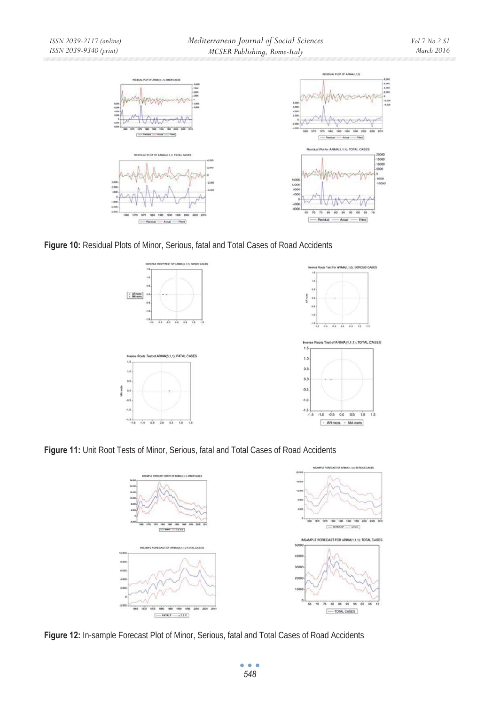

**Figure 10:** Residual Plots of Minor, Serious, fatal and Total Cases of Road Accidents



**Figure 11:** Unit Root Tests of Minor, Serious, fatal and Total Cases of Road Accidents



**Figure 12:** In-sample Forecast Plot of Minor, Serious, fatal and Total Cases of Road Accidents

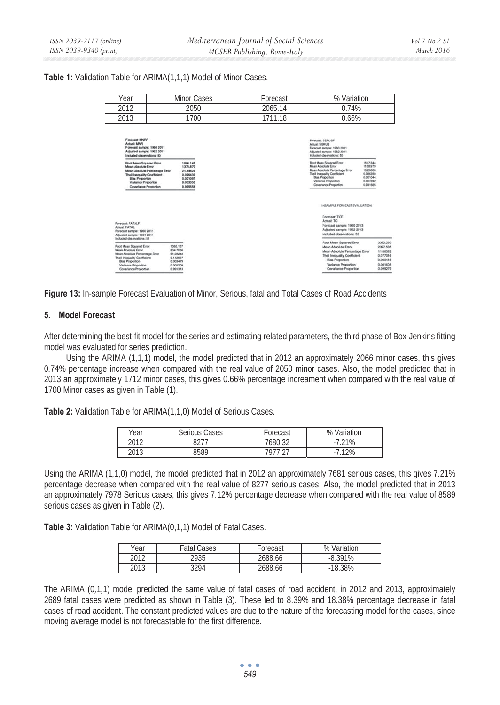#### **Table 1:** Validation Table for ARIMA(1,1,1) Model of Minor Cases.

| Year                                                                                                                                                                                                                                                                        | Minor Cases                                                                      |      | Forecast                                                                                                                                                                                   | % Variation                                                                                                                                                                         |                                                                                  |
|-----------------------------------------------------------------------------------------------------------------------------------------------------------------------------------------------------------------------------------------------------------------------------|----------------------------------------------------------------------------------|------|--------------------------------------------------------------------------------------------------------------------------------------------------------------------------------------------|-------------------------------------------------------------------------------------------------------------------------------------------------------------------------------------|----------------------------------------------------------------------------------|
| 2012                                                                                                                                                                                                                                                                        |                                                                                  | 2050 | 2065.14                                                                                                                                                                                    | 0.74%                                                                                                                                                                               |                                                                                  |
| 2013                                                                                                                                                                                                                                                                        |                                                                                  | 1700 | 1711.18                                                                                                                                                                                    | 0.66%                                                                                                                                                                               |                                                                                  |
| Forecast MNRF<br>Actual: MNN<br>Forecast sample: 1960 2011<br>Adjusted sample: 1962 2011<br>Included observations: 50                                                                                                                                                       |                                                                                  |      |                                                                                                                                                                                            | Forecast: SERUSE<br>Artual: SERUS<br>Forecast sample: 1960 2011<br>Adjusted sample: 1962 2011<br>Included observations: 50                                                          |                                                                                  |
| Root Mean Squared Emor<br>1886.143<br>Mean Abedute Error<br>1375.870<br>Mean Absolute Percentage Emor<br>21,89623<br>Theil Inequality Coefficient<br>0.096432<br><b>Blas Proportion</b><br>0.001087<br>Variance Proportion<br>0.003355<br>Covariance Proportion<br>0.995558 |                                                                                  |      | Root Mean Squared Error<br>Mean Absolute Error<br>Mean Absolute Percentage Error<br>Theil Inequality Coefficient<br><b>Blas Proportion</b><br>Variance Proportion<br>Covariance Proportion | 1617,344<br>1128,979<br>13,29000<br>0.006350<br>0.001044<br>0.007392<br>0.991565                                                                                                    |                                                                                  |
|                                                                                                                                                                                                                                                                             |                                                                                  |      |                                                                                                                                                                                            | INSAMPLE FORECAST EVALUATION<br>Forecast: TCF                                                                                                                                       |                                                                                  |
| Forecast: FATALF<br><b>Actual FATAL</b><br>Forecast sample: 1960 2011<br>Adusted sample: 1961 2011<br>Included observations: 51                                                                                                                                             |                                                                                  |      |                                                                                                                                                                                            | Artual TC<br>Forecast sample: 1960 2013<br>Adjusted sample: 1962 2013<br>Included observations: 52                                                                                  |                                                                                  |
| <b>Root Mean Squared Emor</b><br>Mean Absolute Error<br>Mean Absolute Percentage Error<br>Theil Inequality Coefficient<br>Blas Proportion<br>Variance Proportion<br>Covariance Proportion                                                                                   | 1065.167<br>834.7060<br>61,08243<br>0.142937<br>0.003479<br>0.005209<br>0.991313 |      |                                                                                                                                                                                            | Root Mean Squared Error<br>Mean Absolute Error<br>Mean Absolute Percentage Error<br>Theil Inequality Coefficient<br>Blas Proportion<br>Variance Proportion<br>Covariance Proportion | 3392.250<br>2397,535<br>11,66328<br>0.077016<br>0.000116<br>0.001605<br>0.998279 |

**Figure 13:** In-sample Forecast Evaluation of Minor, Serious, fatal and Total Cases of Road Accidents

## **5. Model Forecast**

After determining the best-fit model for the series and estimating related parameters, the third phase of Box-Jenkins fitting model was evaluated for series prediction.

Using the ARIMA (1*,*1*,*1) model, the model predicted that in 2012 an approximately 2066 minor cases, this gives 0*.*74% percentage increase when compared with the real value of 2050 minor cases. Also, the model predicted that in 2013 an approximately 1712 minor cases, this gives 0*.*66% percentage increament when compared with the real value of 1700 Minor cases as given in Table (1).

**Table 2:** Validation Table for ARIMA(1,1,0) Model of Serious Cases.

| ear  | Serious Cases | Forecast | % Variation |
|------|---------------|----------|-------------|
| 2012 |               | 7680.32  | $-7.21%$    |
| 2013 | 3589          | 7077 77  | .12%        |

Using the ARIMA (1*,*1*,*0) model, the model predicted that in 2012 an approximately 7681 serious cases, this gives 7*.*21% percentage decrease when compared with the real value of 8277 serious cases. Also, the model predicted that in 2013 an approximately 7978 Serious cases, this gives 7*.*12% percentage decrease when compared with the real value of 8589 serious cases as given in Table (2).

**Table 3:** Validation Table for ARIMA(0,1,1) Model of Fatal Cases.

| Year | <b>Fatal Cases</b> | Forecast | % Variation |
|------|--------------------|----------|-------------|
| 2012 | 2935               | 2688.66  | $-8.391%$   |
| 2013 | 3294               | 2688.66  | $-18.38%$   |

The ARIMA (0*,*1*,*1) model predicted the same value of fatal cases of road accident, in 2012 and 2013, approximately 2689 fatal cases were predicted as shown in Table (3). These led to 8*.*39% and 18*.*38% percentage decrease in fatal cases of road accident. The constant predicted values are due to the nature of the forecasting model for the cases, since moving average model is not forecastable for the first difference.

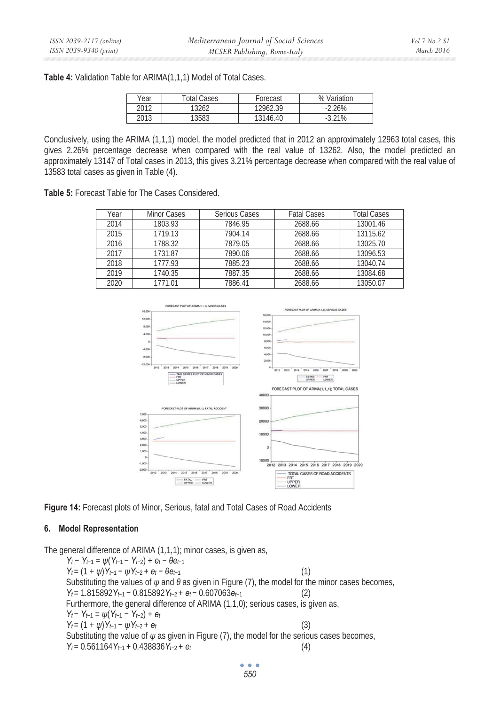**Table 4:** Validation Table for ARIMA(1,1,1) Model of Total Cases.

| Year | <b>Total Cases</b> | Forecast | % Variation |
|------|--------------------|----------|-------------|
| 2012 | 13262              | 12962.39 | $-2.26%$    |
| 2013 | 13583              | 1314640  | 3.21%<br>-  |

Conclusively, using the ARIMA (1*,*1*,*1) model, the model predicted that in 2012 an approximately 12963 total cases, this gives 2*.*26% percentage decrease when compared with the real value of 13262. Also, the model predicted an approximately 13147 of Total cases in 2013, this gives 3*.*21% percentage decrease when compared with the real value of 13583 total cases as given in Table (4).

**Table 5:** Forecast Table for The Cases Considered.

| Year | Minor Cases | Serious Cases | <b>Fatal Cases</b> | <b>Total Cases</b> |
|------|-------------|---------------|--------------------|--------------------|
| 2014 | 1803.93     | 7846.95       | 2688.66            | 13001.46           |
| 2015 | 1719.13     | 7904.14       | 2688.66            | 13115.62           |
| 2016 | 1788.32     | 7879.05       | 2688.66            | 13025.70           |
| 2017 | 1731.87     | 7890.06       | 2688.66            | 13096.53           |
| 2018 | 1777.93     | 7885.23       | 2688.66            | 13040.74           |
| 2019 | 1740.35     | 7887.35       | 2688.66            | 13084.68           |
| 2020 | 1771.01     | 7886.41       | 2688.66            | 13050.07           |



**Figure 14:** Forecast plots of Minor, Serious, fatal and Total Cases of Road Accidents

# **6. Model Representation**

The general difference of ARIMA (1*,*1*,*1); minor cases, is given as,

*Y*<sub>t</sub> – *Y*<sub>t-1</sub> =  $\psi(Y_{t-1} - Y_{t-2}) + e_t - \theta e_{t-1}$  $Y_t = (1 + \psi)Y_{t-1} - \psi Y_{t-2} + e_t - \theta e_{t-1}$  (1) Substituting the values of *ψ* and *θ* as given in Figure (7), the model for the minor cases becomes,  $Y_t = 1.815892Y_{t-1} - 0.815892Y_{t-2} + e_t - 0.607063e_{t-1}$  (2) Furthermore, the general difference of ARIMA (1*,*1*,*0); serious cases, is given as, *Y*<sub>t</sub> – *Y*<sub>t-1</sub> =  $\psi(Y_{t-1} - Y_{t-2}) + e_t$  $Y_t = (1 + \psi)Y_{t-1} - \psi Y_{t-2} + e_t$  (3) Substituting the value of  $\psi$  as given in Figure (7), the model for the serious cases becomes,  $Y_t = 0.561164Y_{t-1} + 0.438836Y_{t-2} + e_t$  (4)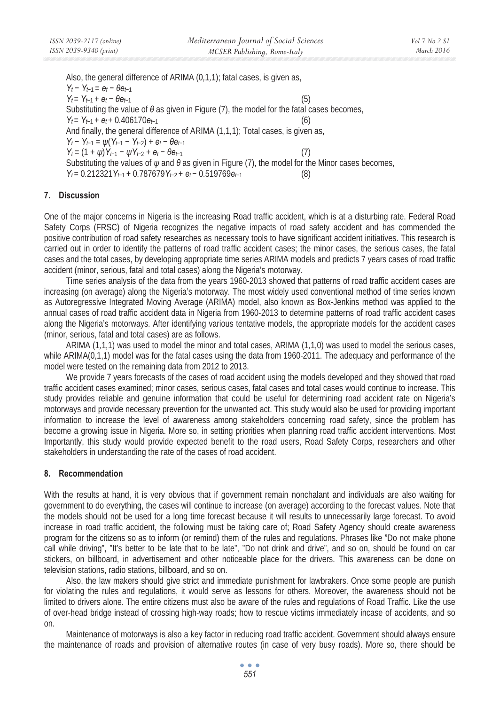Also, the general difference of ARIMA (0*,*1*,*1); fatal cases, is given as,  $Y_t - Y_{t-1} = e_t - \theta e_{t-1}$  $Y_t = Y_{t-1} + e_t - \theta e_{t-1}$  (5) Substituting the value of  $\theta$  as given in Figure (7), the model for the fatal cases becomes,  $Y_t = Y_{t-1} + e_t + 0.406170e_{t-1}$  (6) And finally, the general difference of ARIMA (1*,*1*,*1); Total cases, is given as, *Y<sub>t</sub>* – *Y<sub>t</sub>*-1 =  $\psi(Y_{t-1} - Y_{t-2}) + e_t - \theta e_{t-1}$  $Y_t = (1 + \psi)Y_{t-1} - \psi Y_{t-2} + e_t - \theta e_{t-1}$  (7) Substituting the values of *ψ* and *θ* as given in Figure (7), the model for the Minor cases becomes,  $Y_t = 0.212321Y_{t-1} + 0.787679Y_{t-2} + e_t - 0.519769e_{t-1}$  (8)

### **7. Discussion**

One of the major concerns in Nigeria is the increasing Road traffic accident, which is at a disturbing rate. Federal Road Safety Corps (FRSC) of Nigeria recognizes the negative impacts of road safety accident and has commended the positive contribution of road safety researches as necessary tools to have significant accident initiatives. This research is carried out in order to identify the patterns of road traffic accident cases; the minor cases, the serious cases, the fatal cases and the total cases, by developing appropriate time series ARIMA models and predicts 7 years cases of road traffic accident (minor, serious, fatal and total cases) along the Nigeria's motorway.

Time series analysis of the data from the years 1960-2013 showed that patterns of road traffic accident cases are increasing (on average) along the Nigeria's motorway. The most widely used conventional method of time series known as Autoregressive Integrated Moving Average (ARIMA) model, also known as Box-Jenkins method was applied to the annual cases of road traffic accident data in Nigeria from 1960-2013 to determine patterns of road traffic accident cases along the Nigeria's motorways. After identifying various tentative models, the appropriate models for the accident cases (minor, serious, fatal and total cases) are as follows.

ARIMA (1*,*1*,*1) was used to model the minor and total cases, ARIMA (1*,*1*,*0) was used to model the serious cases, while ARIMA(0,1,1) model was for the fatal cases using the data from 1960-2011. The adequacy and performance of the model were tested on the remaining data from 2012 to 2013.

We provide 7 years forecasts of the cases of road accident using the models developed and they showed that road traffic accident cases examined; minor cases, serious cases, fatal cases and total cases would continue to increase. This study provides reliable and genuine information that could be useful for determining road accident rate on Nigeria's motorways and provide necessary prevention for the unwanted act. This study would also be used for providing important information to increase the level of awareness among stakeholders concerning road safety, since the problem has become a growing issue in Nigeria. More so, in setting priorities when planning road traffic accident interventions. Most Importantly, this study would provide expected benefit to the road users, Road Safety Corps, researchers and other stakeholders in understanding the rate of the cases of road accident.

# **8. Recommendation**

With the results at hand, it is very obvious that if government remain nonchalant and individuals are also waiting for government to do everything, the cases will continue to increase (on average) according to the forecast values. Note that the models should not be used for a long time forecast because it will results to unnecessarily large forecast. To avoid increase in road traffic accident, the following must be taking care of; Road Safety Agency should create awareness program for the citizens so as to inform (or remind) them of the rules and regulations. Phrases like "Do not make phone call while driving", "It's better to be late that to be late", "Do not drink and drive", and so on, should be found on car stickers, on billboard, in advertisement and other noticeable place for the drivers. This awareness can be done on television stations, radio stations, billboard, and so on.

Also, the law makers should give strict and immediate punishment for lawbrakers. Once some people are punish for violating the rules and regulations, it would serve as lessons for others. Moreover, the awareness should not be limited to drivers alone. The entire citizens must also be aware of the rules and regulations of Road Traffic. Like the use of over-head bridge instead of crossing high-way roads; how to rescue victims immediately incase of accidents, and so on.

Maintenance of motorways is also a key factor in reducing road traffic accident. Government should always ensure the maintenance of roads and provision of alternative routes (in case of very busy roads). More so, there should be